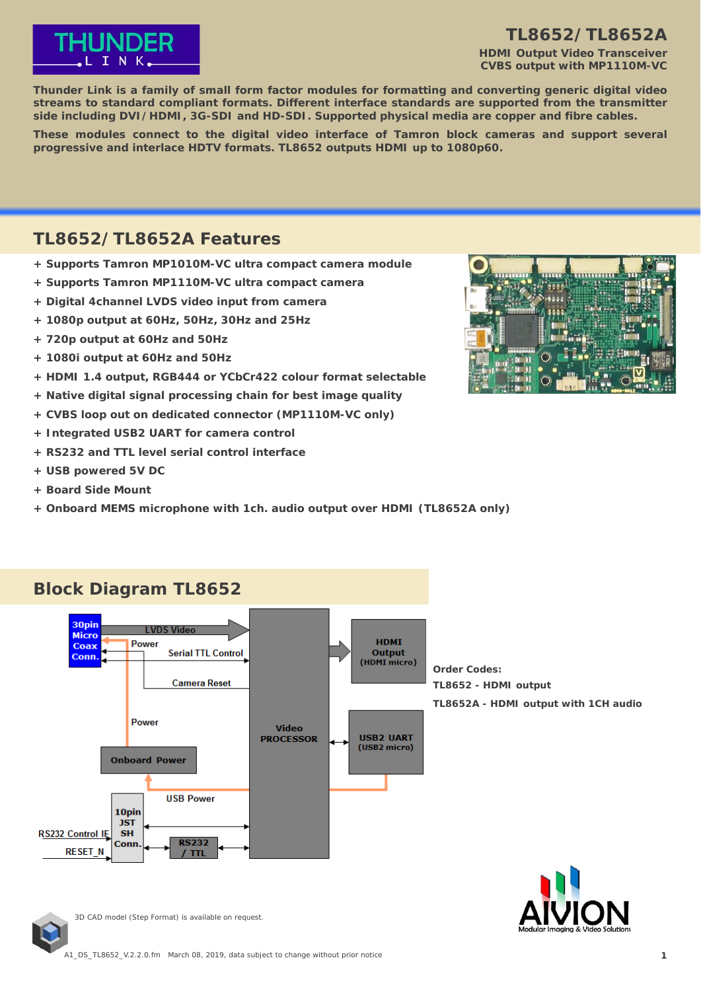

### **TL8652/TL8652A**

**HDMI Output Video Transceiver CVBS output with MP1110M-VC**

**Thunder Link is a family of small form factor modules for formatting and converting generic digital video streams to standard compliant formats. Different interface standards are supported from the transmitter side including DVI/HDMI, 3G-SDI and HD-SDI. Supported physical media are copper and fibre cables.**

**These modules connect to the digital video interface of Tamron block cameras and support several progressive and interlace HDTV formats. TL8652 outputs HDMI up to 1080p60.**

# **TL8652/TL8652A Features**

- **+ Supports Tamron MP1010M-VC ultra compact camera module**
- **+ Supports Tamron MP1110M-VC ultra compact camera**
- **+ Digital 4channel LVDS video input from camera**
- **+ 1080p output at 60Hz, 50Hz, 30Hz and 25Hz**
- **+ 720p output at 60Hz and 50Hz**
- **+ 1080i output at 60Hz and 50Hz**
- **+ HDMI 1.4 output, RGB444 or YCbCr422 colour format selectable**
- **+ Native digital signal processing chain for best image quality**
- **+ CVBS loop out on dedicated connector (MP1110M-VC only)**
- **+ Integrated USB2 UART for camera control**
- **+ RS232 and TTL level serial control interface**
- **+ USB powered 5V DC**
- **+ Board Side Mount**
- **+ Onboard MEMS microphone with 1ch. audio output over HDMI (TL8652A only)**





**Order Codes: TL8652 - HDMI output TL8652A - HDMI output with 1CH audio**



### **Block Diagram TL8652**

**JST SH** 

Conn

RS232 Control IF

**RESET N** 

3D CAD model (Step Format) is available on request.

**RS232** 

 $T$  TTI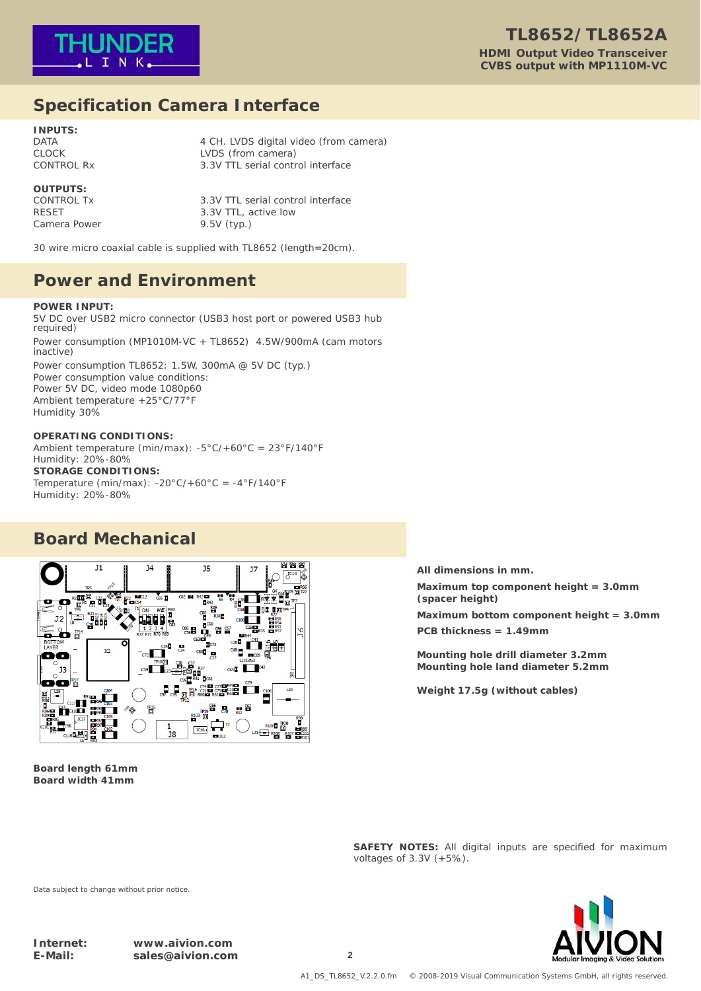

### **Specification Camera Interface**

**INPUTS:**

DATA 2001 12 CH. LVDS digital video (from camera) CLOCK LVDS (from camera) CONTROL Rx 3.3V TTL serial control interface

### **OUTPUTS:**

Camera Power 9.5V (typ.)

CONTROL Tx 3.3V TTL serial control interface<br>RESET 3.3V TTL active low 3.3V TTL, active low

30 wire micro coaxial cable is supplied with TL8652 (length=20cm).

### **Power and Environment**

#### **POWER INPUT:**

5V DC over USB2 micro connector (USB3 host port or powered USB3 hub required) Power consumption (MP1010M-VC + TL8652) 4.5W/900mA (cam motors inactive) Power consumption TL8652: 1.5W, 300mA @ 5V DC (typ.) Power consumption value conditions: Power 5V DC, video mode 1080p60 Ambient temperature +25°C/77°F Humidity 30%

#### **OPERATING CONDITIONS:**

Ambient temperature (min/max): -5°C/+60°C = 23°F/140°F Humidity: 20%-80% **STORAGE CONDITIONS:** Temperature (min/max):  $-20^{\circ}$ C/ $+60^{\circ}$ C =  $-4^{\circ}$ F/140°F Humidity: 20%-80%

### **Board Mechanical**



**Board length 61mm Board width 41mm**

**All dimensions in mm.**

**Maximum top component height = 3.0mm (spacer height)**

**Maximum bottom component height = 3.0mm PCB thickness = 1.49mm**

**Mounting hole drill diameter 3.2mm Mounting hole land diameter 5.2mm**

**Weight 17.5g (without cables)**

**SAFETY NOTES:** All digital inputs are specified for maximum voltages of 3.3V (+5%).



Data subject to change without prior notice.

**Internet: www.aivion.com E-Mail: sales@aivion.com 2**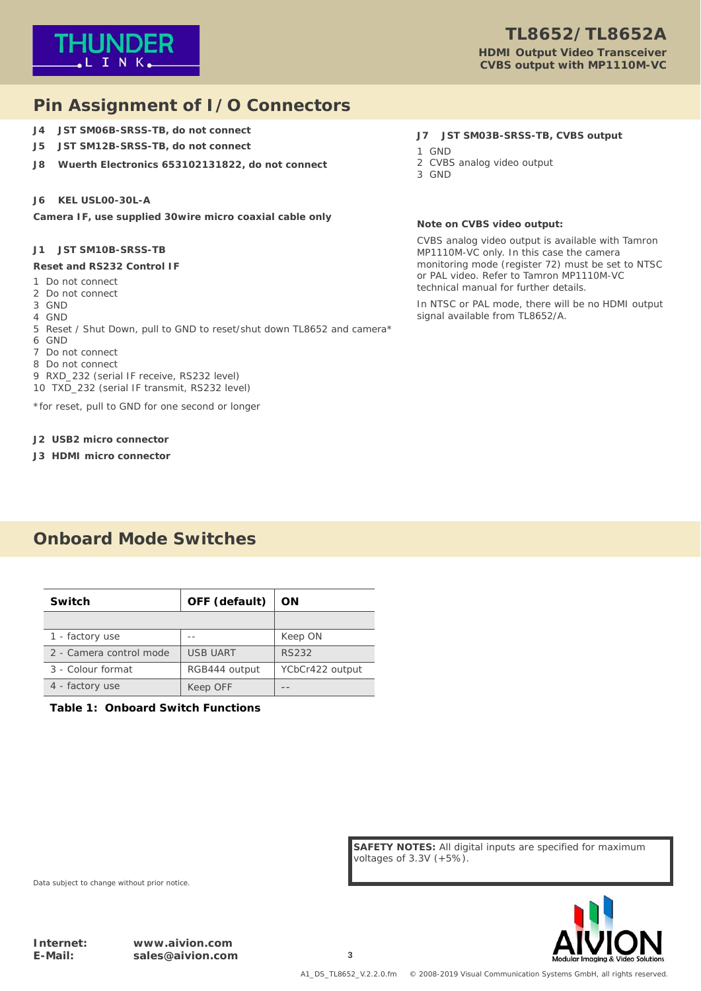

# **Pin Assignment of I/O Connectors**

- **J4 JST SM06B-SRSS-TB, do not connect**
- **J5 JST SM12B-SRSS-TB, do not connect**
- **J8 Wuerth Electronics 653102131822, do not connect**

### **J6 KEL USL00-30L-A**

**Camera IF, use supplied 30wire micro coaxial cable only**

### **J1 JST SM10B-SRSS-TB**

#### **Reset and RS232 Control IF**

- 1 Do not connect
- 2 Do not connect
- 3 GND
- 4 GND
- 5 Reset / Shut Down, pull to GND to reset/shut down TL8652 and camera\*
- 6 GND
- 7 Do not connect
- 8 Do not connect
- 9 RXD\_232 (serial IF receive, RS232 level)
- 10 TXD\_232 (serial IF transmit, RS232 level)

\*for reset, pull to GND for one second or longer

#### **J2 USB2 micro connector**

**J3 HDMI micro connector**

### **Onboard Mode Switches**

| Switch                  | OFF (default)   | OΝ              |  |
|-------------------------|-----------------|-----------------|--|
|                         |                 |                 |  |
| 1 - factory use         |                 | Keep ON         |  |
| 2 - Camera control mode | <b>USB UART</b> | RS232           |  |
| 3 - Colour format       | RGB444 output   | YCbCr422 output |  |
| 4 - factory use         | Keep OFF        |                 |  |

#### **Table 1: Onboard Switch Functions**

#### **J7 JST SM03B-SRSS-TB, CVBS output**

- 1 GND
- 2 CVBS analog video output
- 3 GND

#### **Note on CVBS video output:**

CVBS analog video output is available with Tamron MP1110M-VC only. In this case the camera monitoring mode (register 72) must be set to NTSC or PAL video. Refer to Tamron MP1110M-VC technical manual for further details.

In NTSC or PAL mode, there will be no HDMI output signal available from TL8652/A.

**SAFETY NOTES:** All digital inputs are specified for maximum voltages of 3.3V (+5%).



Data subject to change without prior notice.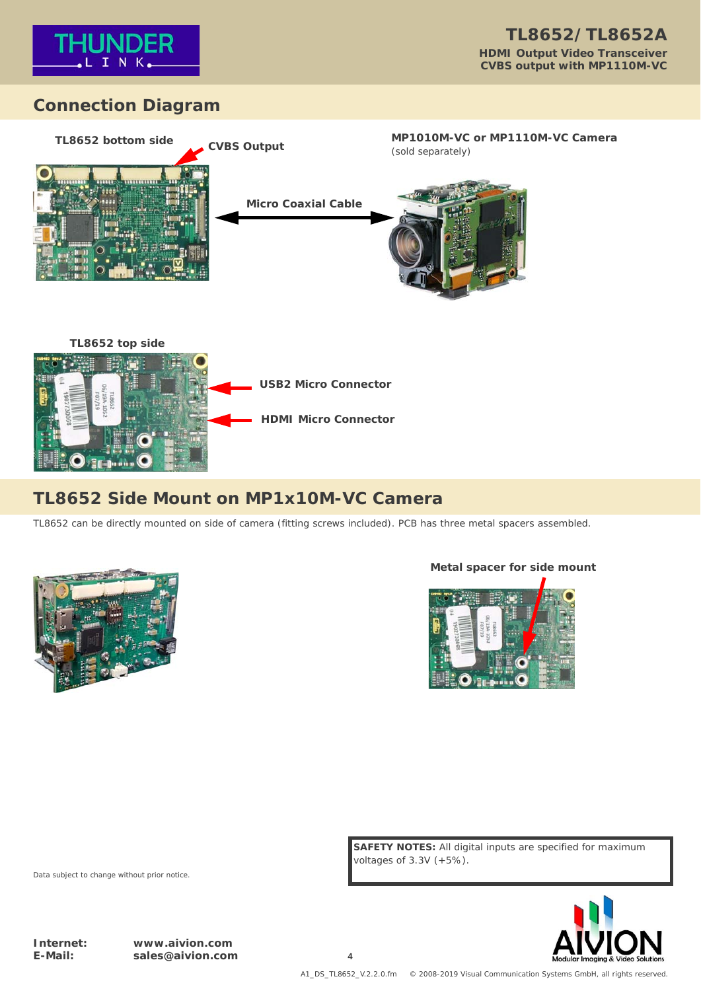

# **Connection Diagram**





# **TL8652 Side Mount on MP1x10M-VC Camera**

TL8652 can be directly mounted on side of camera (fitting screws included). PCB has three metal spacers assembled.



### **Metal spacer for side mount**



**SAFETY NOTES:** All digital inputs are specified for maximum voltages of 3.3V (+5%).



Data subject to change without prior notice.

**Internet: www.aivion.com E-Mail: sales@aivion.com 4**